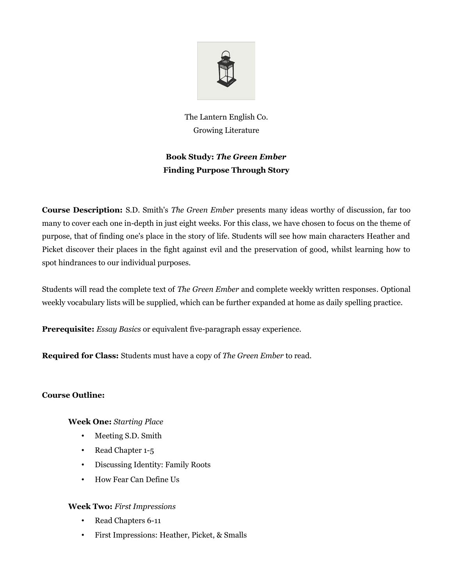

The Lantern English Co. Growing Literature

# **Book Study:** *The Green Ember* **Finding Purpose Through Story**

**Course Description:** S.D. Smith's *The Green Ember* presents many ideas worthy of discussion, far too many to cover each one in-depth in just eight weeks. For this class, we have chosen to focus on the theme of purpose, that of finding one's place in the story of life. Students will see how main characters Heather and Picket discover their places in the fight against evil and the preservation of good, whilst learning how to spot hindrances to our individual purposes.

Students will read the complete text of *The Green Ember* and complete weekly written responses*.* Optional weekly vocabulary lists will be supplied, which can be further expanded at home as daily spelling practice.

**Prerequisite:** *Essay Basics* or equivalent five-paragraph essay experience.

**Required for Class:** Students must have a copy of *The Green Ember* to read.

## **Course Outline:**

## **Week One:** *Starting Place*

- Meeting S.D. Smith
- Read Chapter 1-5
- Discussing Identity: Family Roots
- How Fear Can Define Us

## **Week Two:** *First Impressions*

- Read Chapters 6-11
- First Impressions: Heather, Picket, & Smalls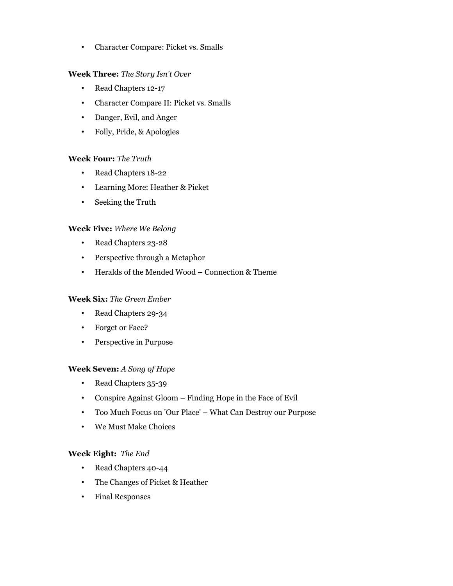• Character Compare: Picket vs. Smalls

## **Week Three:** *The Story Isn't Over*

- Read Chapters 12-17
- Character Compare II: Picket vs. Smalls
- Danger, Evil, and Anger
- Folly, Pride, & Apologies

## **Week Four:** *The Truth*

- Read Chapters 18-22
- Learning More: Heather & Picket
- Seeking the Truth

## **Week Five:** *Where We Belong*

- Read Chapters 23-28
- Perspective through a Metaphor
- Heralds of the Mended Wood Connection & Theme

## **Week Six:** *The Green Ember*

- Read Chapters 29-34
- Forget or Face?
- Perspective in Purpose

## **Week Seven:** *A Song of Hope*

- Read Chapters 35-39
- Conspire Against Gloom Finding Hope in the Face of Evil
- Too Much Focus on 'Our Place' What Can Destroy our Purpose
- We Must Make Choices

## **Week Eight:** *The End*

- Read Chapters 40-44
- The Changes of Picket & Heather
- Final Responses